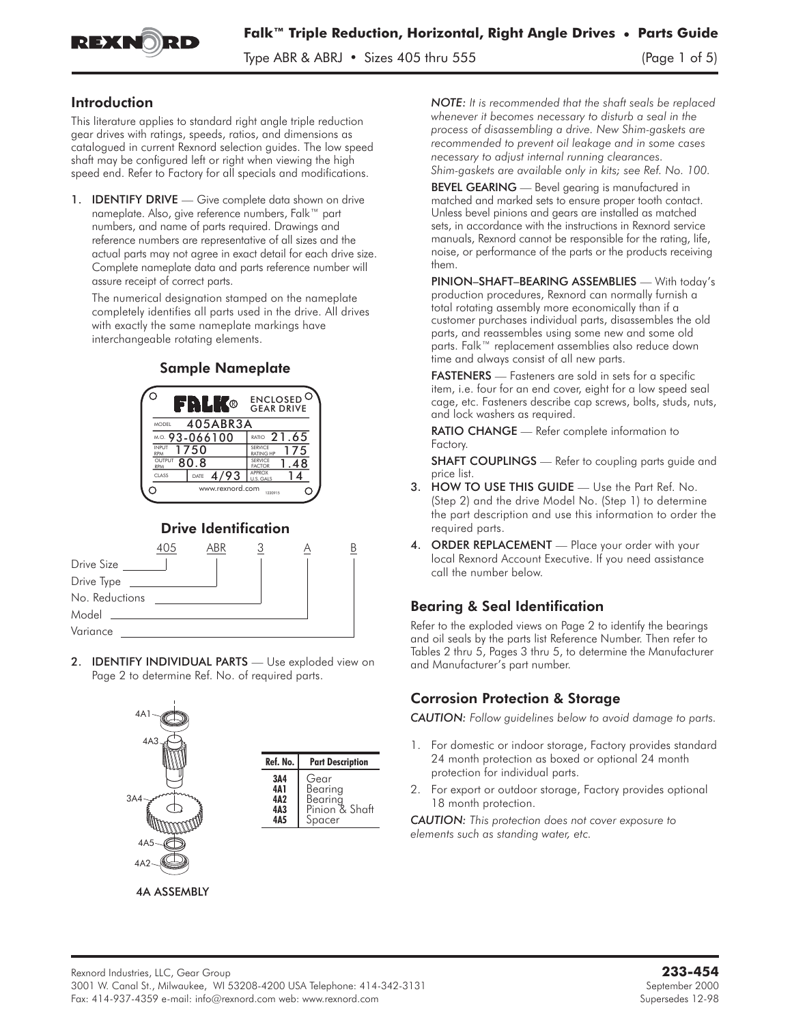

Type ABR & ABRJ • Sizes 405 thru 555 (Page 1 of 5)

#### Introduction

This literature applies to standard right angle triple reduction gear drives with ratings, speeds, ratios, and dimensions as catalogued in current Rexnord selection guides. The low speed shaft may be configured left or right when viewing the high speed end. Refer to Factory for all specials and modifications.

1. **IDENTIFY DRIVE** — Give complete data shown on drive nameplate. Also, give reference numbers, Falk™ part numbers, and name of parts required. Drawings and reference numbers are representative of all sizes and the actual parts may not agree in exact detail for each drive size. Complete nameplate data and parts reference number will assure receipt of correct parts.

The numerical designation stamped on the nameplate completely identifies all parts used in the drive. All drives with exactly the same nameplate markings have interchangeable rotating elements.

# Sample Nameplate



## Drive Identification



2. **IDENTIFY INDIVIDUAL PARTS** - Use exploded view on Page 2 to determine Ref. No. of required parts.



*NOTE: It is recommended that the shaft seals be replaced whenever it becomes necessary to disturb a seal in the process of disassembling a drive. New Shim-gaskets are recommended to prevent oil leakage and in some cases necessary to adjust internal running clearances. Shim-gaskets are available only in kits; see Ref. No. 100.*

BEVEL GEARING - Bevel gearing is manufactured in matched and marked sets to ensure proper tooth contact. Unless bevel pinions and gears are installed as matched sets, in accordance with the instructions in Rexnord service manuals, Rexnord cannot be responsible for the rating, life, noise, or performance of the parts or the products receiving them.

PINION–SHAFT–BEARING ASSEMBLIES — With today's production procedures, Rexnord can normally furnish a total rotating assembly more economically than if a customer purchases individual parts, disassembles the old parts, and reassembles using some new and some old parts. Falk™ replacement assemblies also reduce down time and always consist of all new parts.

FASTENERS - Fasteners are sold in sets for a specific item, i.e. four for an end cover, eight for a low speed seal cage, etc. Fasteners describe cap screws, bolts, studs, nuts, and lock washers as required.

RATIO CHANGE — Refer complete information to Factory.

**SHAFT COUPLINGS** — Refer to coupling parts guide and price list.

- 3. HOW TO USE THIS GUIDE Use the Part Ref. No. (Step 2) and the drive Model No. (Step 1) to determine the part description and use this information to order the required parts.
- ORDER REPLACEMENT Place your order with your local Rexnord Account Executive. If you need assistance call the number below.

#### Bearing & Seal Identification

Refer to the exploded views on Page 2 to identify the bearings and oil seals by the parts list Reference Number. Then refer to Tables 2 thru 5, Pages 3 thru 5, to determine the Manufacturer and Manufacturer's part number.

## Corrosion Protection & Storage

*CAUTION: Follow guidelines below to avoid damage to parts.*

- 1. For domestic or indoor storage, Factory provides standard 24 month protection as boxed or optional 24 month protection for individual parts.
- 2. For export or outdoor storage, Factory provides optional 18 month protection.

*CAUTION: This protection does not cover exposure to elements such as standing water, etc.*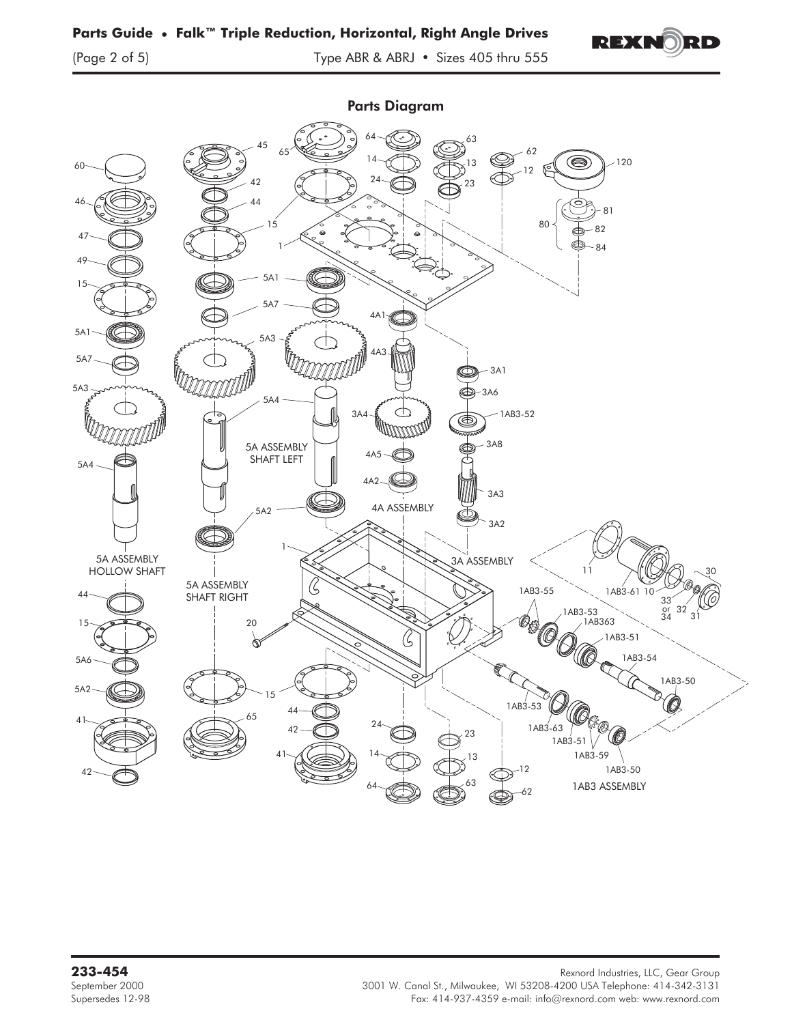

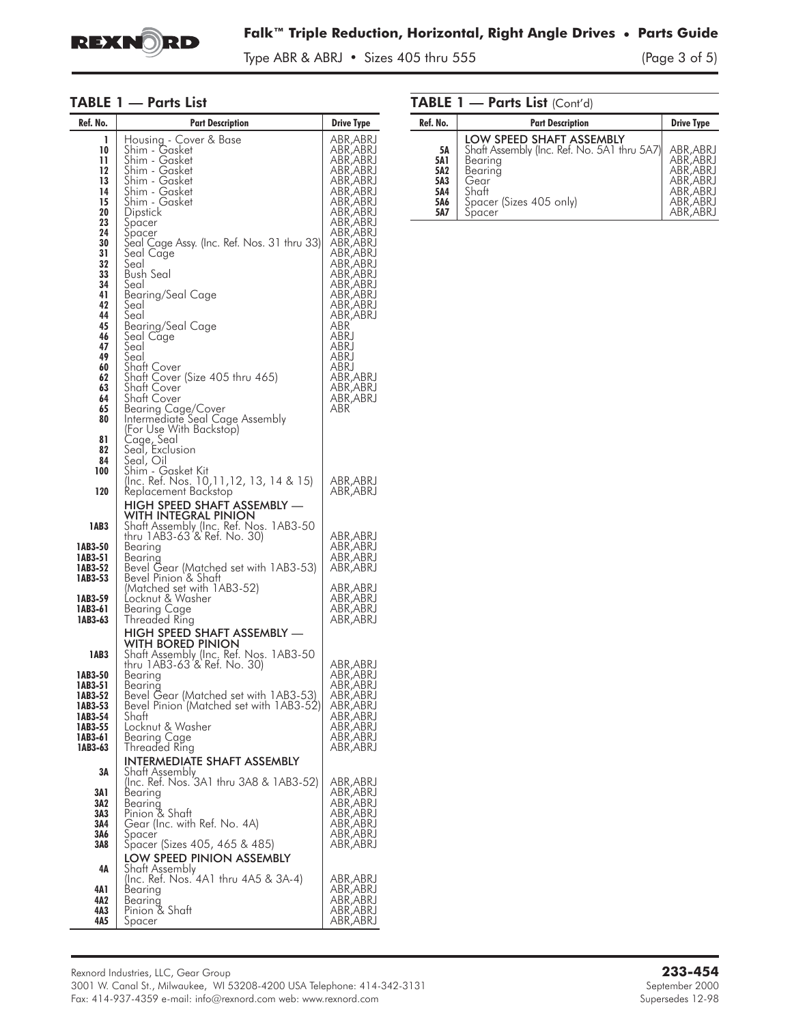

Type ABR & ABRJ • Sizes 405 thru 555 (Page 3 of 5)

#### TABLE 1 — Parts List

| Ref. No.                                                                                                                                                      | <b>Part Description</b>                                                                                                                                                                                                                                                                                                                                                                                                                    | <b>Drive Type</b>                                                                                                                                                                                                                                                                                               |
|---------------------------------------------------------------------------------------------------------------------------------------------------------------|--------------------------------------------------------------------------------------------------------------------------------------------------------------------------------------------------------------------------------------------------------------------------------------------------------------------------------------------------------------------------------------------------------------------------------------------|-----------------------------------------------------------------------------------------------------------------------------------------------------------------------------------------------------------------------------------------------------------------------------------------------------------------|
| 1<br>10<br>11<br>12<br>13<br>14<br>15<br>20<br>23<br>24<br>30<br>31<br>32<br>33<br>34<br>41<br>42<br>44<br>45<br>46<br>47<br>49<br>60<br>62<br>63<br>64<br>65 | Housing - Cover & Base<br>Shim - Gasket<br>Shim - Gasket<br>Shim - Gasket<br>Shim - Gasket<br>Shim - Gasket<br>Shim - Gasket<br>Dipstick<br>Spacer<br>Špacer<br>Seal Cage Assy. (Inc. Ref. Nos. 31 thru 33)<br>'<br>Seal<br>Bush Seal<br>Seal<br>Bearing/Seal Cage<br>Seal<br>Seal<br>Bearing/Seal Cage<br>Seal Cage<br>Seal<br>Seal<br>Shaft Cover<br>Shaft Cover (Size 405 thru 465)<br>Shaft Cover<br>Shaft Cover<br>Bearing Cage/Cover | ABR,ABRJ<br>ABR,ABRJ<br>ABR, ABRJ<br>ABR, ABRJ<br>ABR, ABRJ<br>ABR,ABRJ<br>ABR, ABRJ<br>ABR,ABRJ<br>ABR,ABRJ<br>ABR, ABRJ<br>ABR,ABRJ<br>ABR,ABRJ<br>ABR, ABRJ<br>ABR,ABRJ<br>ABR,ABRJ<br>ABR, ABRJ<br>ABR, ABRJ<br>ABR,ABRJ<br>ABR<br>ABRJ<br>ABRJ<br>ABRJ<br>ABRJ<br>ABR,ABRJ<br>ABR, ABRJ<br>ABR,ABRJ<br>ABR |
| 80<br>81<br>82<br>84<br>100                                                                                                                                   | Intermediate Seal Cage Assembly<br>(For Use With Backstop)<br>Cage, Seal<br>Seal, Exclusion<br>Seal, O <u>i</u> l<br>Shim - Gasket Kit                                                                                                                                                                                                                                                                                                     |                                                                                                                                                                                                                                                                                                                 |
| 120                                                                                                                                                           | (Inc. Ref. Nos. 10, 11, 12, 13, 14 & 15)<br>Keplacement Backstop                                                                                                                                                                                                                                                                                                                                                                           | ABR,ABRJ<br>ABR,ABRJ                                                                                                                                                                                                                                                                                            |
| 1AB3<br>1AB3-50<br>1AB3-51<br>1AB3-52                                                                                                                         | HIGH SPEED SHAFT ASSEMBLY -<br>WITH INTEGRAL PINION<br>Shaft Assembly (Inc. Ref. Nos. 1AB3-50<br>thru 1AB3-63 & Ref. No. 30)<br>Bearing<br>Bearing<br>Bevel Gear (Matched set with 1AB3-53)                                                                                                                                                                                                                                                | ABR, ABRJ<br>ABR,ABRJ<br>ABR, ABRJ<br>ABR,ABRJ                                                                                                                                                                                                                                                                  |
| 1AB3-53<br>1AB3-59<br>1AB3-61<br>1AB3-63                                                                                                                      | Bevel Pinion & Shatt<br>(Matched set with 1AB3-52)<br>Locknut & Washer<br>Bearing Cage<br>Threaded Ring<br><b>HIGH SPEED SHAFT ASSEMBLY -</b>                                                                                                                                                                                                                                                                                              | ABR, ABRJ<br>ABR,ABRJ<br>ABR,ABRJ<br>ABR,ABRJ                                                                                                                                                                                                                                                                   |
| 1AB3<br>1AB3-50<br>1AB3-51<br>1AB3-52<br>1AB3-53<br>1AB3-54<br>1AB3-55<br>1AB3-61<br>1AB3-63                                                                  | WITH BORED PINION<br>Shaft Assembly (Inc. Ref. Nos. 1AB3-50<br>thru 1AB3-63 & Ref. No. 30)<br>Bearing<br>Bearing<br>Bevel Gear (Matched set with 1AB3-53)<br>Bevel Pinion (Matched set with 1AB3-52)<br>Shatt<br>Locknut & Washer<br>Bearing Cage<br>Threaded Ring<br><b>INTERMEDIATE SHAFT ASSEMBLY</b>                                                                                                                                   | ABR, ABRJ<br>ABR,ABRJ<br>ABR, ABRJ<br>ABR, ABRJ<br>ABR, ABRJ<br>ABR,ABRJ<br>ABR, ABRJ<br>ABR,ABRJ<br>ABR, ABRJ                                                                                                                                                                                                  |
| 3A<br>3A 1<br>3A2<br>3A3<br>3A4<br>3A6<br>3A8<br>4Α<br>4A 1<br>4A2<br>4A3                                                                                     | Shatt Assembly<br>(Inc. Ref. Nos. 3A1 thru 3A8 & 1AB3-52)<br>Bearing<br>Bearing<br>Pinion & Shaft<br>Gear (Inc. with Ref. No. 4A)<br>Spacer<br>Spacer (Sizes 405, 465 & 485)<br>LOW SPEED PINION ASSEMBLY<br>Shatt Assembly<br>(Inc. Ref. Nos. 4A1 thru 4A5 & 3A-4)<br>Bearing<br>Bearing<br>Pinion & Shaft                                                                                                                                | ABR, ABRJ<br>ABR,ABRJ<br>ABR,ABRJ<br>ABR, ABRJ<br>ABR, ABRJ<br>ABR,ABRJ<br>ABR,ABRJ<br>ABR,ABRJ<br>ABR, ABRJ<br>ABR,ABRJ<br>ABR,ABRJ                                                                                                                                                                            |
| 4A5                                                                                                                                                           | Spacer                                                                                                                                                                                                                                                                                                                                                                                                                                     | ABR, ABRJ                                                                                                                                                                                                                                                                                                       |

| Ref. No.                                                   | <b>Part Description</b>                                                                                                                             | <b>Drive Type</b>                                                                       |
|------------------------------------------------------------|-----------------------------------------------------------------------------------------------------------------------------------------------------|-----------------------------------------------------------------------------------------|
| <b>5A</b><br><b>5A1</b><br>5A2<br>5A3<br>5A4<br>5A6<br>5A7 | LOW SPEED SHAFT ASSEMBLY<br>Shaft Assembly (Inc. Ref. No. 5A1 thru 5A7)<br>Bearing<br>Bearing<br>Gear<br>Shaft<br>Spacer (Sizes 405 only)<br>Spacer | ABR, ABRJ<br>ABR, ABRJ<br>ABR, ABRJ<br>ABR, ABRJ<br>ABR, ABRJ<br>ABR, ABRJ<br>ABR, ABRJ |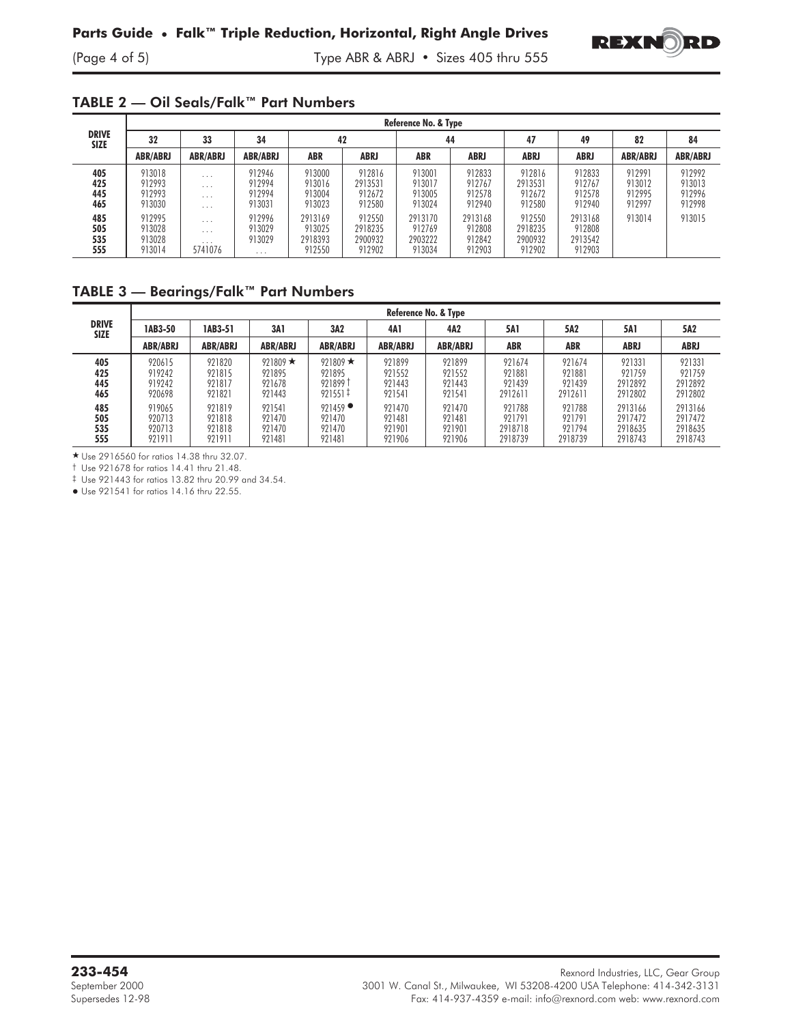

(Page 4 of 5) Type ABR & ABRJ • Sizes 405 thru 555

#### TABLE 2 — Oil Seals/Falk™ Part Numbers

|                             | Reference No. & Type                 |                                                             |                                        |                                        |                                        |                                        |                                       |                                        |                                        |                                      |                                      |
|-----------------------------|--------------------------------------|-------------------------------------------------------------|----------------------------------------|----------------------------------------|----------------------------------------|----------------------------------------|---------------------------------------|----------------------------------------|----------------------------------------|--------------------------------------|--------------------------------------|
| <b>DRIVE</b><br><b>SIZE</b> | 32                                   | 33                                                          | 34                                     | 42                                     |                                        | 44                                     |                                       | 47                                     | 49                                     | 82                                   | 84                                   |
|                             | <b>ABR/ABRJ</b>                      | <b>ABR/ABRJ</b>                                             | <b>ABR/ABRJ</b>                        | <b>ABR</b>                             | ABRJ                                   | <b>ABR</b>                             | <b>ABRJ</b>                           | <b>ABRJ</b>                            | <b>ABRJ</b>                            | <b>ABR/ABRJ</b>                      | <b>ABR/ABRJ</b>                      |
| 405<br>425<br>445<br>465    | 913018<br>912993<br>912993<br>913030 | $\cdots$<br>$\cdots$<br>$\cdots$<br>$\cdot$ $\cdot$ $\cdot$ | 912946<br>912994<br>912994<br>913031   | 913000<br>913016<br>913004<br>913023   | 912816<br>2913531<br>912672<br>912580  | 913001<br>913017<br>913005<br>913024   | 912833<br>912767<br>912578<br>912940  | 912816<br>2913531<br>912672<br>912580  | 912833<br>912767<br>912578<br>912940   | 912991<br>913012<br>912995<br>912997 | 912992<br>913013<br>912996<br>912998 |
| 485<br>505<br>535<br>555    | 912995<br>913028<br>913028<br>913014 | $\cdot$ $\cdot$ $\cdot$<br>$\cdots$<br>$\cdots$<br>5741076  | 912996<br>913029<br>913029<br>$\cdots$ | 2913169<br>913025<br>2918393<br>912550 | 912550<br>2918235<br>2900932<br>912902 | 2913170<br>912769<br>2903222<br>913034 | 2913168<br>912808<br>912842<br>912903 | 912550<br>2918235<br>2900932<br>912902 | 2913168<br>912808<br>2913542<br>912903 | 913014                               | 913015                               |

## TABLE 3 — Bearings/Falk™ Part Numbers

|                             | Reference No. & Type                 |                                      |                                              |                                                      |                                      |                                      |                                        |                                       |                                          |                                          |
|-----------------------------|--------------------------------------|--------------------------------------|----------------------------------------------|------------------------------------------------------|--------------------------------------|--------------------------------------|----------------------------------------|---------------------------------------|------------------------------------------|------------------------------------------|
| <b>DRIVE</b><br><b>SIZE</b> | 1AB3-50                              | 1AB3-51                              | 3A1                                          | 3A2                                                  | 4A1                                  | 4A2                                  | <b>5A</b>                              | 5A2                                   | 5A 1                                     | 5A2                                      |
|                             | <b>ABR/ABRJ</b>                      | <b>ABR/ABRJ</b>                      | <b>ABR/ABRJ</b>                              | <b>ABR/ABRJ</b>                                      | <b>ABR/ABRJ</b>                      | <b>ABR/ABRJ</b>                      | <b>ABR</b>                             | <b>ABR</b>                            | <b>ABRJ</b>                              | ABRJ                                     |
| 405<br>425<br>445<br>465    | 920615<br>919242<br>919242<br>920698 | 921820<br>921815<br>921817<br>921821 | 921809 $\star$<br>921895<br>921678<br>921443 | 921809 $\star$<br>921895<br>921899 1<br>$921551 \pm$ | 921899<br>921552<br>921443<br>921541 | 921899<br>921552<br>921443<br>921541 | 921674<br>921881<br>921439<br>2912611  | 921674<br>921881<br>921439<br>2912611 | 921331<br>921759<br>2912892<br>2912802   | 921331<br>921759<br>2912892<br>2912802   |
| 485<br>505<br>535<br>555    | 919065<br>920713<br>920713<br>921911 | 921819<br>921818<br>921818<br>921911 | 921541<br>921470<br>921470<br>921481         | $921459$ $\bullet$<br>921470<br>921470<br>921481     | 921470<br>921481<br>921901<br>921906 | 921470<br>921481<br>921901<br>921906 | 921788<br>921791<br>2918718<br>2918739 | 921788<br>921791<br>921794<br>2918739 | 2913166<br>2917472<br>2918635<br>2918743 | 2913166<br>2917472<br>2918635<br>2918743 |

- Use 2916560 for ratios 14.38 thru 32.07.

† Use 921678 for ratios 14.41 thru 21.48.

‡ Use 921443 for ratios 13.82 thru 20.99 and 34.54.

- Use 921541 for ratios 14.16 thru 22.55.